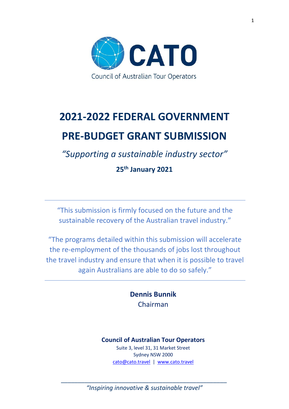

# **2021-2022 FEDERAL GOVERNMENT PRE-BUDGET GRANT SUBMISSION**

*"Supporting a sustainable industry sector"*

**25th January 2021**

"This submission is firmly focused on the future and the sustainable recovery of the Australian travel industry."

"The programs detailed within this submission will accelerate the re-employment of the thousands of jobs lost throughout the travel industry and ensure that when it is possible to travel again Australians are able to do so safely."

> **Dennis Bunnik** Chairman

# **Council of Australian Tour Operators**

Suite 3, level 31, 31 Market Street Sydney NSW 2000 [cato@cato.travel](mailto:cato@cato.travel) | [www.cato.travel](http://www.cato.travel/)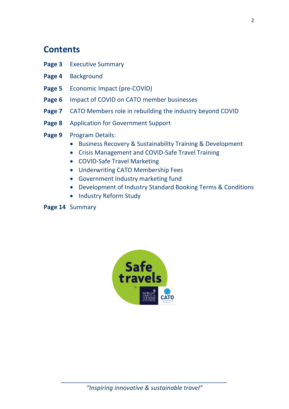# **Contents**

- **Page 3** Executive Summary
- **Page 4** Background
- **Page 5** Economic Impact (pre-COVID)
- **Page 6** Impact of COVID on CATO member businesses
- **Page 7** CATO Members role in rebuilding the industry beyond COVID
- **Page 8** Application for Government Support
- Page 9 Program Details:
	- Business Recovery & Sustainability Training & Development
	- Crisis Management and COVID-Safe Travel Training
	- COVID-Safe Travel Marketing
	- Underwriting CATO Membership Fees
	- Government Industry marketing fund
	- Development of Industry Standard Booking Terms & Conditions
	- Industry Reform Study

# **Page 14** Summary

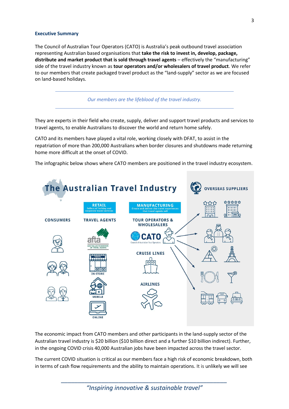#### **Executive Summary**

The Council of Australian Tour Operators (CATO) is Australia's peak outbound travel association representing Australian based organisations that **take the risk to invest in, develop, package, distribute and market product that is sold through travel agents** – effectively the "manufacturing" side of the travel industry known as **tour operators and/or wholesalers of travel product**. We refer to our members that create packaged travel product as the "land-supply" sector as we are focused on land-based holidays.

*Our members are the lifeblood of the travel industry.*

They are experts in their field who create, supply, deliver and support travel products and services to travel agents, to enable Australians to discover the world and return home safely.

CATO and its members have played a vital role, working closely with DFAT, to assist in the repatriation of more than 200,000 Australians when border closures and shutdowns made returning home more difficult at the onset of COVID.

The infographic below shows where CATO members are positioned in the travel industry ecosystem.



The economic impact from CATO members and other participants in the land-supply sector of the Australian travel industry is \$20 billion (\$10 billion direct and a further \$10 billion indirect). Further, in the ongoing COVID crisis 40,000 Australian jobs have been impacted across the travel sector.

The current COVID situation is critical as our members face a high risk of economic breakdown, both in terms of cash flow requirements and the ability to maintain operations. It is unlikely we will see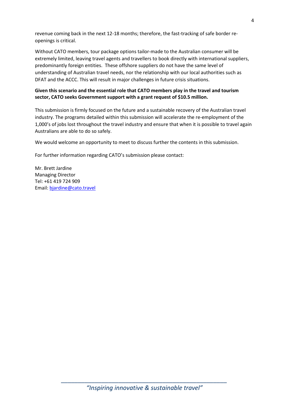revenue coming back in the next 12-18 months; therefore, the fast-tracking of safe border reopenings is critical.

Without CATO members, tour package options tailor-made to the Australian consumer will be extremely limited, leaving travel agents and travellers to book directly with international suppliers, predominantly foreign entities. These offshore suppliers do not have the same level of understanding of Australian travel needs, nor the relationship with our local authorities such as DFAT and the ACCC. This will result in major challenges in future crisis situations.

# **Given this scenario and the essential role that CATO members play in the travel and tourism sector, CATO seeks Government support with a grant request of \$10.5 million.**

This submission is firmly focused on the future and a sustainable recovery of the Australian travel industry. The programs detailed within this submission will accelerate the re-employment of the 1,000's of jobs lost throughout the travel industry and ensure that when it is possible to travel again Australians are able to do so safely.

We would welcome an opportunity to meet to discuss further the contents in this submission.

For further information regarding CATO's submission please contact:

Mr. Brett Jardine Managing Director Tel: +61 419 724 909 Email: [bjardine@cato.travel](mailto:bjardine@cato.travel)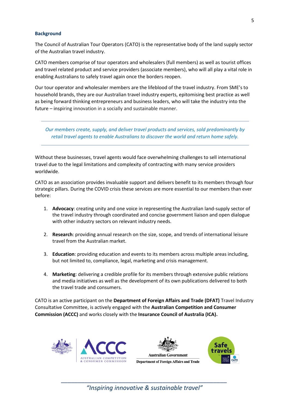#### **Background**

The Council of Australian Tour Operators (CATO) is the representative body of the land supply sector of the Australian travel industry.

CATO members comprise of tour operators and wholesalers (full members) as well as tourist offices and travel related product and service providers (associate members), who will all play a vital role in enabling Australians to safely travel again once the borders reopen.

Our tour operator and wholesaler members are the lifeblood of the travel industry. From SME's to household brands, they are our Australian travel industry experts, epitomising best practice as well as being forward thinking entrepreneurs and business leaders, who will take the industry into the future – inspiring innovation in a socially and sustainable manner.

*Our members create, supply, and deliver travel products and services, sold predominantly by retail travel agents to enable Australians to discover the world and return home safely.* 

Without these businesses, travel agents would face overwhelming challenges to sell international travel due to the legal limitations and complexity of contracting with many service providers worldwide.

CATO as an association provides invaluable support and delivers benefit to its members through four strategic pillars. During the COVID crisis these services are more essential to our members than ever before:

- 1. **Advocacy**: creating unity and one voice in representing the Australian land-supply sector of the travel industry through coordinated and concise government liaison and open dialogue with other industry sectors on relevant industry needs.
- 2. **Research**: providing annual research on the size, scope, and trends of international leisure travel from the Australian market.
- 3. **Education**: providing education and events to its members across multiple areas including, but not limited to, compliance, legal, marketing and crisis management.
- 4. **Marketing**: delivering a credible profile for its members through extensive public relations and media initiatives as well as the development of its own publications delivered to both the travel trade and consumers.

CATO is an active participant on the **Department of Foreign Affairs and Trade (DFAT)** Travel Industry Consultative Committee, is actively engaged with the **Australian Competition and Consumer Commission (ACCC)** and works closely with the **Insurance Council of Australia (ICA).**





Safe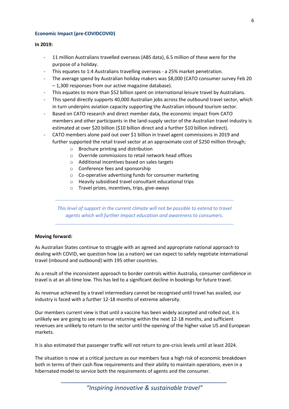### **Economic Impact (pre-COVIDCOVID)**

#### **In 2019:**

- 11 million Australians travelled overseas (ABS data), 6.5 million of these were for the purpose of a holiday.
- This equates to 1:4 Australians travelling overseas a 25% market penetration.
- The average spend by Australian holiday makers was \$8,000 (CATO consumer survey Feb 20 – 1,300 responses from our active magazine database).
- This equates to more than \$52 billion spent on international leisure travel by Australians.
- This spend directly supports 40,000 Australian jobs across the outbound travel sector, which in turn underpins aviation capacity supporting the Australian inbound tourism sector.
- Based on CATO research and direct member data, the economic impact from CATO members and other participants in the land-supply sector of the Australian travel industry is estimated at over \$20 billion (\$10 billion direct and a further \$10 billion indirect).
- CATO members alone paid out over \$1 billion in travel agent commissions in 2019 and further supported the retail travel sector at an approximate cost of \$250 million through;
	- o Brochure printing and distribution
	- o Override commissions to retail network head offices
	- o Additional incentives based on sales targets
	- o Conference fees and sponsorship
	- o Co-operative advertising funds for consumer marketing
	- o Heavily subsidised travel consultant educational trips
	- o Travel prizes, incentives, trips, give-aways

*This level of support in the current climate will not be possible to extend to travel agents which will further impact education and awareness to consumers.*

#### **Moving forward:**

As Australian States continue to struggle with an agreed and appropriate national approach to dealing with COVID, we question how (as a nation) we can expect to safely negotiate international travel (inbound and outbound) with 195 other countries.

As a result of the inconsistent approach to border controls within Australia, consumer confidence in travel is at an all-time low. This has led to a significant decline in bookings for future travel.

As revenue achieved by a travel intermediary cannot be recognised until travel has availed, our industry is faced with a further 12-18 months of extreme adversity.

Our members current view is that until a vaccine has been widely accepted and rolled out, it is unlikely we are going to see revenue returning within the next 12-18 months, and sufficient revenues are unlikely to return to the sector until the opening of the higher value US and European markets.

It is also estimated that passenger traffic will not return to pre-crisis levels until at least 2024.

The situation is now at a critical juncture as our members face a high risk of economic breakdown both in terms of their cash flow requirements and their ability to maintain operations, even in a hibernated model to service both the requirements of agents and the consumer.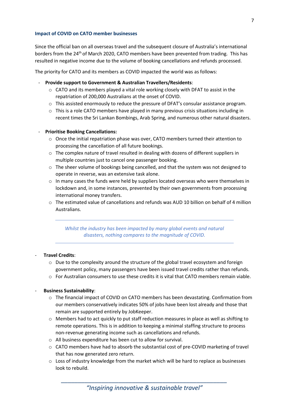#### **Impact of COVID on CATO member businesses**

Since the official ban on all overseas travel and the subsequent closure of Australia's international borders from the 24<sup>th</sup> of March 2020, CATO members have been prevented from trading. This has resulted in negative income due to the volume of booking cancellations and refunds processed.

The priority for CATO and its members as COVID impacted the world was as follows:

- **Provide support to Government & Australian Travellers/Residents**:
	- $\circ$  CATO and its members played a vital role working closely with DFAT to assist in the repatriation of 200,000 Australians at the onset of COVID.
	- $\circ$  This assisted enormously to reduce the pressure of DFAT's consular assistance program.
	- o This is a role CATO members have played in many previous crisis situations including in recent times the Sri Lankan Bombings, Arab Spring, and numerous other natural disasters.

## - **Prioritise Booking Cancellations:**

- o Once the initial repatriation phase was over, CATO members turned their attention to processing the cancellation of all future bookings.
- $\circ$  The complex nature of travel resulted in dealing with dozens of different suppliers in multiple countries just to cancel one passenger booking.
- o The sheer volume of bookings being cancelled, and that the system was not designed to operate in reverse, was an extensive task alone.
- $\circ$  In many cases the funds were held by suppliers located overseas who were themselves in lockdown and, in some instances, prevented by their own governments from processing international money transfers.
- $\circ$  The estimated value of cancellations and refunds was AUD 10 billion on behalf of 4 million Australians.

*Whilst the industry has been impacted by many global events and natural disasters, nothing compares to the magnitude of COVID.* 

#### - **Travel Credits**:

- $\circ$  Due to the complexity around the structure of the global travel ecosystem and foreign government policy, many passengers have been issued travel credits rather than refunds.
- $\circ$  For Australian consumers to use these credits it is vital that CATO members remain viable.

#### - **Business Sustainability**:

- o The financial impact of COVID on CATO members has been devastating. Confirmation from our members conservatively indicates 50% of jobs have been lost already and those that remain are supported entirely by JobKeeper.
- o Members had to act quickly to put staff reduction measures in place as well as shifting to remote operations. This is in addition to keeping a minimal staffing structure to process non-revenue generating income such as cancellations and refunds.
- o All business expenditure has been cut to allow for survival.
- $\circ$  CATO members have had to absorb the substantial cost of pre-COVID marketing of travel that has now generated zero return.
- o Loss of industry knowledge from the market which will be hard to replace as businesses look to rebuild.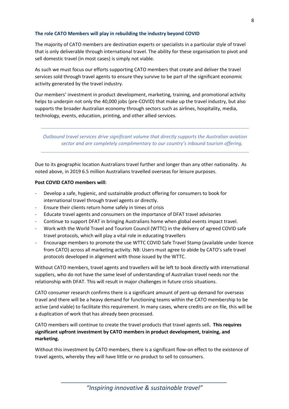## **The role CATO Members will play in rebuilding the industry beyond COVID**

The majority of CATO members are destination experts or specialists in a particular style of travel that is only deliverable through international travel. The ability for these organisation to pivot and sell domestic travel (in most cases) is simply not viable.

As such we must focus our efforts supporting CATO members that create and deliver the travel services sold through travel agents to ensure they survive to be part of the significant economic activity generated by the travel industry.

Our members' investment in product development, marketing, training, and promotional activity helps to underpin not only the 40,000 jobs (pre-COVID) that make up the travel industry, but also supports the broader Australian economy through sectors such as airlines, hospitality, media, technology, events, education, printing, and other allied services.

*Outbound travel services drive significant volume that directly supports the Australian aviation sector and are completely complimentary to our country's inbound tourism offering.*

Due to its geographic location Australians travel further and longer than any other nationality. As noted above, in 2019 6.5 million Australians travelled overseas for leisure purposes.

#### **Post COVID CATO members will:**

- Develop a safe, hygienic, and sustainable product offering for consumers to book for international travel through travel agents or directly.
- Ensure their clients return home safely in times of crisis
- Educate travel agents and consumers on the importance of DFAT travel advisories
- Continue to support DFAT in bringing Australians home when global events impact travel.
- Work with the World Travel and Tourism Council (WTTC) in the delivery of agreed COVID safe travel protocols, which will play a vital role in educating travellers
- Encourage members to promote the use WTTC COVID Safe Travel Stamp (available under licence from CATO) across all marketing activity. NB: Users must agree to abide by CATO's safe travel protocols developed in alignment with those issued by the WTTC.

Without CATO members, travel agents and travellers will be left to book directly with international suppliers, who do not have the same level of understanding of Australian travel needs nor the relationship with DFAT. This will result in major challenges in future crisis situations.

CATO consumer research confirms there is a significant amount of pent-up demand for overseas travel and there will be a heavy demand for functioning teams within the CATO membership to be active (and viable) to facilitate this requirement. In many cases, where credits are on file, this will be a duplication of work that has already been processed.

CATO members will continue to create the travel products that travel agents sell**. This requires significant upfront investment by CATO members in product development, training, and marketing.**

Without this investment by CATO members, there is a significant flow-on effect to the existence of travel agents, whereby they will have little or no product to sell to consumers.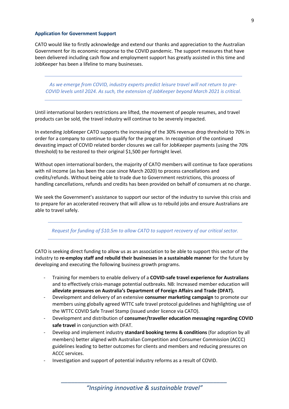#### **Application for Government Support**

CATO would like to firstly acknowledge and extend our thanks and appreciation to the Australian Government for its economic response to the COVID pandemic. The support measures that have been delivered including cash flow and employment support has greatly assisted in this time and JobKeeper has been a lifeline to many businesses.

As we emerge from COVID, industry experts predict leisure travel will not return to pre-*COVID levels until 2024. As such, the extension of JobKeeper beyond March 2021 is critical.*

Until international borders restrictions are lifted, the movement of people resumes, and travel products can be sold, the travel industry will continue to be severely impacted.

In extending JobKeeper CATO supports the increasing of the 30% revenue drop threshold to 70% in order for a company to continue to qualify for the program. In recognition of the continued devasting impact of COVID related border closures we call for JobKeeper payments (using the 70% threshold) to be restored to their original \$1,500 per fortnight level.

Without open international borders, the majority of CATO members will continue to face operations with nil income (as has been the case since March 2020) to process cancellations and credits/refunds. Without being able to trade due to Government restrictions, this process of handling cancellations, refunds and credits has been provided on behalf of consumers at no charge.

We seek the Government's assistance to support our sector of the industry to survive this crisis and to prepare for an accelerated recovery that will allow us to rebuild jobs and ensure Australians are able to travel safely.

*Request for funding of \$10.5m to allow CATO to support recovery of our critical sector.*

CATO is seeking direct funding to allow us as an association to be able to support this sector of the industry to **re-employ staff and rebuild their businesses in a sustainable manner** for the future by developing and executing the following business growth programs.

- Training for members to enable delivery of a **COVID-safe travel experience for Australians** and to effectively crisis-manage potential outbreaks. NB: Increased member education will **alleviate pressures on Australia's Department of Foreign Affairs and Trade (DFAT).**
- Development and delivery of an extensive **consumer marketing campaign** to promote our members using globally agreed WTTC safe travel protocol guidelines and highlighting use of the WTTC COVID Safe Travel Stamp (issued under licence via CATO).
- Development and distribution of **consumer/traveller education messaging regarding COVID safe travel** in conjunction with DFAT.
- Develop and implement industry **standard booking terms & conditions** (for adoption by all members) better aligned with Australian Competition and Consumer Commission (ACCC) guidelines leading to better outcomes for clients and members and reducing pressures on ACCC services.
- Investigation and support of potential industry reforms as a result of COVID.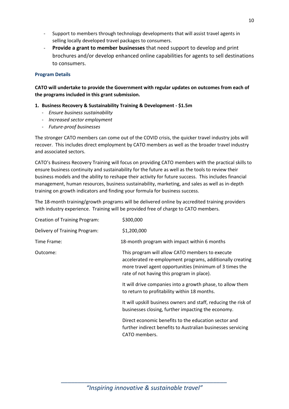- Support to members through technology developments that will assist travel agents in selling locally developed travel packages to consumers.
- **Provide a grant to member businesses** that need support to develop and print brochures and/or develop enhanced online capabilities for agents to sell destinations to consumers.

# **Program Details**

**CATO will undertake to provide the Government with regular updates on outcomes from each of the programs included in this grant submission.** 

# **1. Business Recovery & Sustainability Training & Development - \$1.5m**

- *Ensure business sustainability*
- *Increased sector employment*
- *Future-proof businesses*

The stronger CATO members can come out of the COVID crisis, the quicker travel industry jobs will recover. This includes direct employment by CATO members as well as the broader travel industry and associated sectors.

CATO's Business Recovery Training will focus on providing CATO members with the practical skills to ensure business continuity and sustainability for the future as well as the tools to review their business models and the ability to reshape their activity for future success. This includes financial management, human resources, business sustainability, marketing, and sales as well as in-depth training on growth indicators and finding your formula for business success.

The 18-month training/growth programs will be delivered online by accredited training providers with industry experience. Training will be provided free of charge to CATO members.

| <b>Creation of Training Program:</b> | \$300,000                                                                                                                                                                                                             |
|--------------------------------------|-----------------------------------------------------------------------------------------------------------------------------------------------------------------------------------------------------------------------|
| Delivery of Training Program:        | \$1,200,000                                                                                                                                                                                                           |
| Time Frame:                          | 18-month program with impact within 6 months                                                                                                                                                                          |
| Outcome:                             | This program will allow CATO members to execute<br>accelerated re-employment programs, additionally creating<br>more travel agent opportunities (minimum of 3 times the<br>rate of not having this program in place). |
|                                      | It will drive companies into a growth phase, to allow them<br>to return to profitability within 18 months.                                                                                                            |
|                                      | It will upskill business owners and staff, reducing the risk of<br>businesses closing, further impacting the economy.                                                                                                 |
|                                      | Direct economic benefits to the education sector and<br>further indirect benefits to Australian businesses servicing<br>CATO members.                                                                                 |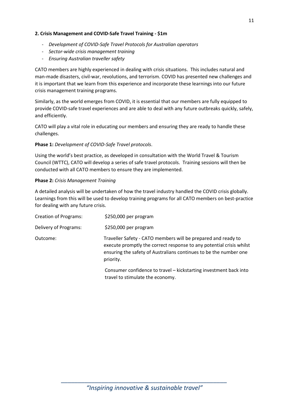# **2. Crisis Management and COVID-Safe Travel Training - \$1m**

- *Development of COVID-Safe Travel Protocols for Australian operators*
- *Sector-wide crisis management training*
- *Ensuring Australian traveller safety*

CATO members are highly experienced in dealing with crisis situations. This includes natural and man-made disasters, civil-war, revolutions, and terrorism. COVID has presented new challenges and it is important that we learn from this experience and incorporate these learnings into our future crisis management training programs.

Similarly, as the world emerges from COVID, it is essential that our members are fully equipped to provide COVID-safe travel experiences and are able to deal with any future outbreaks quickly, safely, and efficiently.

CATO will play a vital role in educating our members and ensuring they are ready to handle these challenges.

# **Phase 1:** *Development of COVID-Safe Travel protocols*.

Using the world's best practice, as developed in consultation with the World Travel & Tourism Council (WTTC), CATO will develop a series of safe travel protocols. Training sessions will then be conducted with all CATO members to ensure they are implemented.

## **Phase 2:** *Crisis Management Training*

A detailed analysis will be undertaken of how the travel industry handled the COVID crisis globally. Learnings from this will be used to develop training programs for all CATO members on best-practice for dealing with any future crisis.

| Creation of Programs: | \$250,000 per program                                                                                                                                                                                                   |
|-----------------------|-------------------------------------------------------------------------------------------------------------------------------------------------------------------------------------------------------------------------|
| Delivery of Programs: | \$250,000 per program                                                                                                                                                                                                   |
| Outcome:              | Traveller Safety - CATO members will be prepared and ready to<br>execute promptly the correct response to any potential crisis whilst<br>ensuring the safety of Australians continues to be the number one<br>priority. |
|                       | Consumer confidence to travel - kickstarting investment back into<br>travel to stimulate the economy.                                                                                                                   |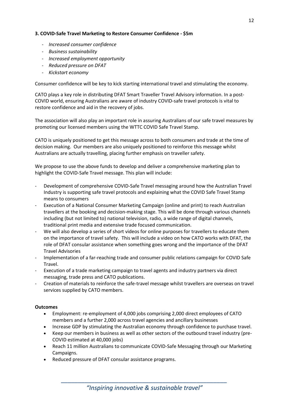# **3. COVID-Safe Travel Marketing to Restore Consumer Confidence - \$5m**

- *Increased consumer confidence*
- *Business sustainability*
- *Increased employment opportunity*
- *Reduced pressure on DFAT*
- *Kickstart economy*

Consumer confidence will be key to kick starting international travel and stimulating the economy.

CATO plays a key role in distributing DFAT Smart Traveller Travel Advisory information. In a post-COVID world, ensuring Australians are aware of industry COVID-safe travel protocols is vital to restore confidence and aid in the recovery of jobs.

The association will also play an important role in assuring Australians of our safe travel measures by promoting our licensed members using the WTTC COVID Safe Travel Stamp.

CATO is uniquely positioned to get this message across to both consumers and trade at the time of decision making. Our members are also uniquely positioned to reinforce this message whilst Australians are actually travelling, placing further emphasis on traveller safety.

We propose to use the above funds to develop and deliver a comprehensive marketing plan to highlight the COVID-Safe Travel message. This plan will include:

- Development of comprehensive COVID-Safe Travel messaging around how the Australian Travel Industry is supporting safe travel protocols and explaining what the COVID Safe Travel Stamp means to consumers
- Execution of a National Consumer Marketing Campaign (online and print) to reach Australian travellers at the booking and decision-making stage. This will be done through various channels including (but not limited to) national television, radio, a wide range of digital channels, traditional print media and extensive trade focused communication.
- We will also develop a series of short videos for online purposes for travellers to educate them on the importance of travel safety. This will include a video on how CATO works with DFAT, the role of DFAT consular assistance when something goes wrong and the importance of the DFAT Travel Advisories
- Implementation of a far-reaching trade and consumer public relations campaign for COVID Safe Travel.
- Execution of a trade marketing campaign to travel agents and industry partners via direct messaging, trade press and CATO publications.
- Creation of materials to reinforce the safe-travel message whilst travellers are overseas on travel services supplied by CATO members.

# **Outcomes**

- Employment: re-employment of 4,000 jobs comprising 2,000 direct employees of CATO members and a further 2,000 across travel agencies and ancillary businesses
- Increase GDP by stimulating the Australian economy through confidence to purchase travel.
- Keep our members in business as well as other sectors of the outbound travel industry (pre-COVID estimated at 40,000 jobs)
- Reach 11 million Australians to communicate COVID-Safe Messaging through our Marketing Campaigns.
- Reduced pressure of DFAT consular assistance programs.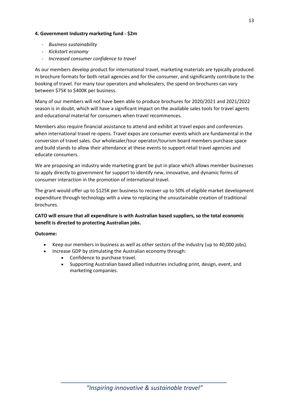# **4. Government Industry marketing fund - \$2m**

- *Business sustainability*
- *Kickstart economy*
- *Increased consumer confidence to travel*

As our members develop product for international travel, marketing materials are typically produced in brochure formats for both retail agencies and for the consumer, and significantly contribute to the booking of travel. For many tour operators and wholesalers, the spend on brochures can vary between \$75K to \$400K per business.

Many of our members will not have been able to produce brochures for 2020/2021 and 2021/2022 season is in doubt, which will have a significant impact on the available sales tools for travel agents and educational material for consumers when travel recommences.

Members also require financial assistance to attend and exhibit at travel expos and conferences when international travel re-opens. Travel expos are consumer events which are fundamental in the conversion of travel sales. Our wholesaler/tour operator/tourism board members purchase space and build stands to allow their attendance at these events to support retail travel agencies and educate consumers.

We are proposing an industry wide marketing grant be put in place which allows member businesses to apply directly to government for support to identify new, innovative, and dynamic forms of consumer interaction in the promotion of international travel.

The grant would offer up to \$125K per business to recover up to 50% of eligible market development expenditure through technology with a view to replacing the unsustainable creation of traditional brochures.

**CATO will ensure that all expenditure is with Australian based suppliers, so the total economic benefit is directed to protecting Australian jobs.** 

# **Outcome:**

- Keep our members in business as well as other sectors of the industry (up to 40,000 jobs).
- Increase GDP by stimulating the Australian economy through:
	- Confidence to purchase travel.
	- Supporting Australian based allied industries including print, design, event, and marketing companies.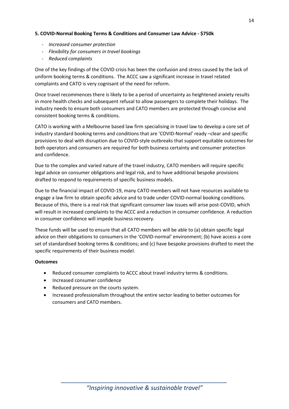# **5. COVID-Normal Booking Terms & Conditions and Consumer Law Advice - \$750k**

- *Increased consumer protection*
- *Flexibility for consumers in travel bookings*
- *Reduced complaints*

One of the key findings of the COVID crisis has been the confusion and stress caused by the lack of uniform booking terms & conditions. The ACCC saw a significant increase in travel related complaints and CATO is very cognisant of the need for reform.

Once travel recommences there is likely to be a period of uncertainty as heightened anxiety results in more health checks and subsequent refusal to allow passengers to complete their holidays. The industry needs to ensure both consumers and CATO members are protected through concise and consistent booking terms & conditions.

CATO is working with a Melbourne based law firm specialising in travel law to develop a core set of industry standard booking terms and conditions that are 'COVID-Normal' ready –clear and specific provisions to deal with disruption due to COVID-style outbreaks that support equitable outcomes for both operators and consumers are required for both business certainty and consumer protection and confidence.

Due to the complex and varied nature of the travel industry, CATO members will require specific legal advice on consumer obligations and legal risk, and to have additional bespoke provisions drafted to respond to requirements of specific business models.

Due to the financial impact of COVID-19, many CATO members will not have resources available to engage a law firm to obtain specific advice and to trade under COVID-normal booking conditions. Because of this, there is a real risk that significant consumer law issues will arise post-COVID, which will result in increased complaints to the ACCC and a reduction in consumer confidence. A reduction in consumer confidence will impede business recovery.

These funds will be used to ensure that all CATO members will be able to (a) obtain specific legal advice on their obligations to consumers in the 'COVID-normal' environment; (b) have access a core set of standardised booking terms & conditions; and (c) have bespoke provisions drafted to meet the specific requirements of their business model.

# **Outcomes**

- Reduced consumer complaints to ACCC about travel industry terms & conditions.
- Increased consumer confidence
- Reduced pressure on the courts system.
- Increased professionalism throughout the entire sector leading to better outcomes for consumers and CATO members.